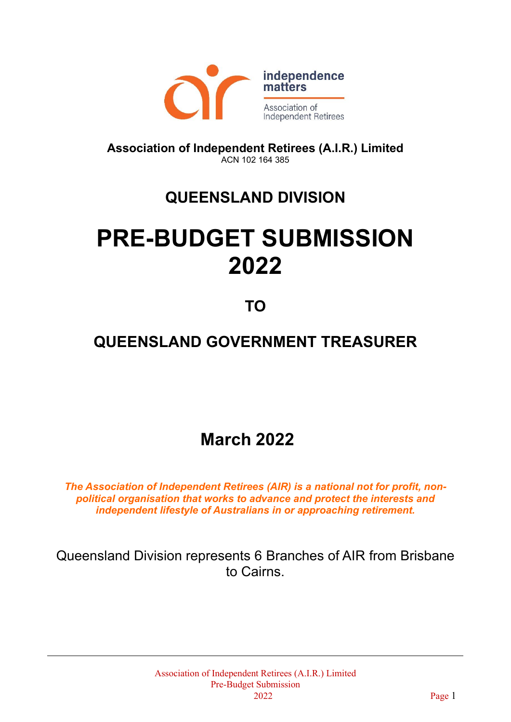

**Association of Independent Retirees (A.I.R.) Limited** ACN 102 164 385

## **QUEENSLAND DIVISION**

# **PRE-BUDGET SUBMISSION 2022**

**TO**

### **QUEENSLAND GOVERNMENT TREASURER**

**March 2022**

*The Association of Independent Retirees (AIR) is a national not for profit, nonpolitical organisation that works to advance and protect the interests and independent lifestyle of Australians in or approaching retirement.*

Queensland Division represents 6 Branches of AIR from Brisbane to Cairns.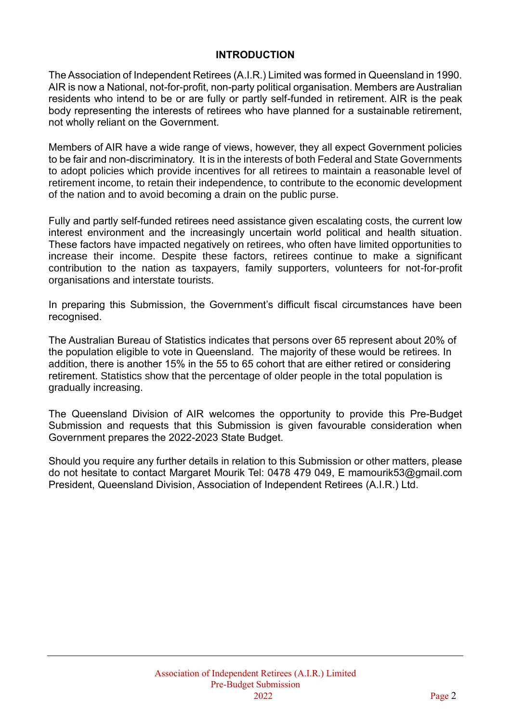#### **INTRODUCTION**

The Association of Independent Retirees (A.I.R.) Limited was formed in Queensland in 1990. AIR is now a National, not-for-profit, non-party political organisation. Members are Australian residents who intend to be or are fully or partly self-funded in retirement. AIR is the peak body representing the interests of retirees who have planned for a sustainable retirement, not wholly reliant on the Government.

Members of AIR have a wide range of views, however, they all expect Government policies to be fair and non-discriminatory. It is in the interests of both Federal and State Governments to adopt policies which provide incentives for all retirees to maintain a reasonable level of retirement income, to retain their independence, to contribute to the economic development of the nation and to avoid becoming a drain on the public purse.

Fully and partly self-funded retirees need assistance given escalating costs, the current low interest environment and the increasingly uncertain world political and health situation. These factors have impacted negatively on retirees, who often have limited opportunities to increase their income. Despite these factors, retirees continue to make a significant contribution to the nation as taxpayers, family supporters, volunteers for not-for-profit organisations and interstate tourists.

In preparing this Submission, the Government's difficult fiscal circumstances have been recognised.

The Australian Bureau of Statistics indicates that persons over 65 represent about 20% of the population eligible to vote in Queensland. The majority of these would be retirees. In addition, there is another 15% in the 55 to 65 cohort that are either retired or considering retirement. Statistics show that the percentage of older people in the total population is gradually increasing.

The Queensland Division of AIR welcomes the opportunity to provide this Pre-Budget Submission and requests that this Submission is given favourable consideration when Government prepares the 2022-2023 State Budget.

Should you require any further details in relation to this Submission or other matters, please do not hesitate to contact Margaret Mourik Tel: 0478 479 049, E mamourik53@gmail.com President, Queensland Division, Association of Independent Retirees (A.I.R.) Ltd.